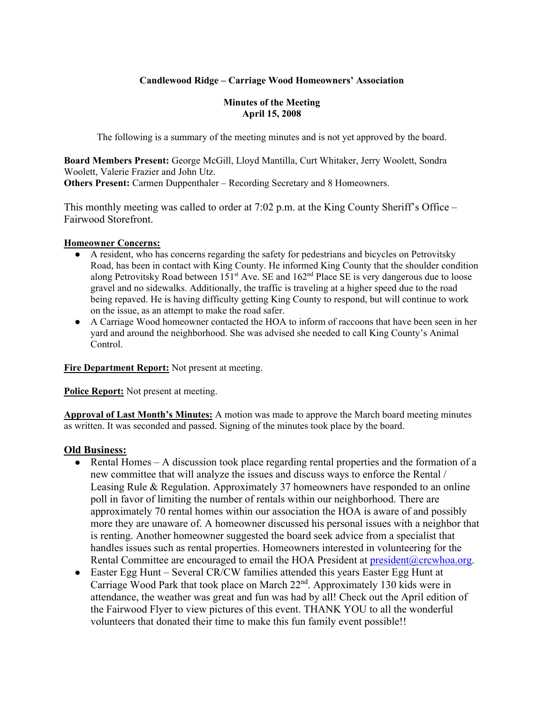### **Candlewood Ridge – Carriage Wood Homeowners' Association**

#### **Minutes of the Meeting April 15, 2008**

The following is a summary of the meeting minutes and is not yet approved by the board.

**Board Members Present:** George McGill, Lloyd Mantilla, Curt Whitaker, Jerry Woolett, Sondra Woolett, Valerie Frazier and John Utz. **Others Present:** Carmen Duppenthaler – Recording Secretary and 8 Homeowners.

This monthly meeting was called to order at 7:02 p.m. at the King County Sheriff's Office – Fairwood Storefront.

#### **Homeowner Concerns:**

- A resident, who has concerns regarding the safety for pedestrians and bicycles on Petrovitsky Road, has been in contact with King County. He informed King County that the shoulder condition along Petrovitsky Road between  $151<sup>st</sup>$  Ave. SE and  $162<sup>nd</sup>$  Place SE is very dangerous due to loose gravel and no sidewalks. Additionally, the traffic is traveling at a higher speed due to the road being repaved. He is having difficulty getting King County to respond, but will continue to work on the issue, as an attempt to make the road safer.
- A Carriage Wood homeowner contacted the HOA to inform of raccoons that have been seen in her yard and around the neighborhood. She was advised she needed to call King County's Animal Control.

**Fire Department Report:** Not present at meeting.

**Police Report:** Not present at meeting.

**Approval of Last Month's Minutes:** A motion was made to approve the March board meeting minutes as written. It was seconded and passed. Signing of the minutes took place by the board.

#### **Old Business:**

- Rental Homes A discussion took place regarding rental properties and the formation of a new committee that will analyze the issues and discuss ways to enforce the Rental / Leasing Rule & Regulation. Approximately 37 homeowners have responded to an online poll in favor of limiting the number of rentals within our neighborhood. There are approximately 70 rental homes within our association the HOA is aware of and possibly more they are unaware of. A homeowner discussed his personal issues with a neighbor that is renting. Another homeowner suggested the board seek advice from a specialist that handles issues such as rental properties. Homeowners interested in volunteering for the Rental Committee are encouraged to email the HOA President at president@crcwhoa.org.
- Easter Egg Hunt Several CR/CW families attended this years Easter Egg Hunt at Carriage Wood Park that took place on March 22nd. Approximately 130 kids were in attendance, the weather was great and fun was had by all! Check out the April edition of the Fairwood Flyer to view pictures of this event. THANK YOU to all the wonderful volunteers that donated their time to make this fun family event possible!!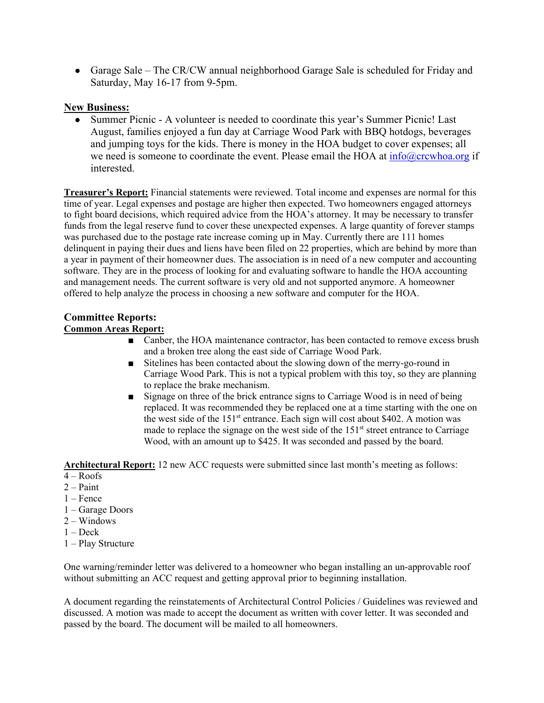• Garage Sale – The CR/CW annual neighborhood Garage Sale is scheduled for Friday and Saturday, May 16-17 from 9-5pm.

# **New Business:**

Summer Picnic - A volunteer is needed to coordinate this year's Summer Picnic! Last August, families enjoyed a fun day at Carriage Wood Park with BBQ hotdogs, beverages and jumping toys for the kids. There is money in the HOA budget to cover expenses; all we need is someone to coordinate the event. Please email the HOA at  $info@crcwboa.org$  if interested.

**Treasurer's Report:** Financial statements were reviewed. Total income and expenses are normal for this time of year. Legal expenses and postage are higher then expected. Two homeowners engaged attorneys to fight board decisions, which required advice from the HOA's attorney. It may be necessary to transfer funds from the legal reserve fund to cover these unexpected expenses. A large quantity of forever stamps was purchased due to the postage rate increase coming up in May. Currently there are 111 homes delinquent in paying their dues and liens have been filed on 22 properties, which are behind by more than a year in payment of their homeowner dues. The association is in need of a new computer and accounting software. They are in the process of looking for and evaluating software to handle the HOA accounting and management needs. The current software is very old and not supported anymore. A homeowner offered to help analyze the process in choosing a new software and computer for the HOA.

# **Committee Reports:**

# **Common Areas Report:**

- Canber, the HOA maintenance contractor, has been contacted to remove excess brush and a broken tree along the east side of Carriage Wood Park.
- Sitelines has been contacted about the slowing down of the merry-go-round in Carriage Wood Park. This is not a typical problem with this toy, so they are planning to replace the brake mechanism.
- Signage on three of the brick entrance signs to Carriage Wood is in need of being replaced. It was recommended they be replaced one at a time starting with the one on the west side of the  $151<sup>st</sup>$  entrance. Each sign will cost about \$402. A motion was made to replace the signage on the west side of the  $151<sup>st</sup>$  street entrance to Carriage Wood, with an amount up to \$425. It was seconded and passed by the board.

**Architectural Report:** 12 new ACC requests were submitted since last month's meeting as follows:

- $4 \text{Roots}$
- $2 -$ Paint
- 1 Fence
- 1 Garage Doors
- $2 -$ Windows
- $1 \text{Deck}$
- 1 Play Structure

One warning/reminder letter was delivered to a homeowner who began installing an un-approvable roof without submitting an ACC request and getting approval prior to beginning installation.

A document regarding the reinstatements of Architectural Control Policies / Guidelines was reviewed and discussed. A motion was made to accept the document as written with cover letter. It was seconded and passed by the board. The document will be mailed to all homeowners.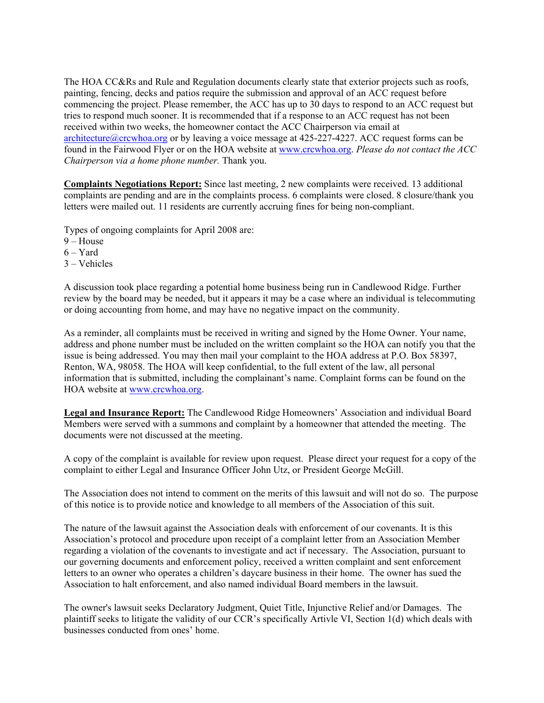The HOA CC&Rs and Rule and Regulation documents clearly state that exterior projects such as roofs, painting, fencing, decks and patios require the submission and approval of an ACC request before commencing the project. Please remember, the ACC has up to 30 days to respond to an ACC request but tries to respond much sooner. It is recommended that if a response to an ACC request has not been received within two weeks, the homeowner contact the ACC Chairperson via email at architecture@crcwhoa.org or by leaving a voice message at 425-227-4227. ACC request forms can be found in the Fairwood Flyer or on the HOA website at www.crcwhoa.org. *Please do not contact the ACC Chairperson via a home phone number.* Thank you.

**Complaints Negotiations Report:** Since last meeting, 2 new complaints were received. 13 additional complaints are pending and are in the complaints process. 6 complaints were closed. 8 closure/thank you letters were mailed out. 11 residents are currently accruing fines for being non-compliant.

Types of ongoing complaints for April 2008 are:

- $9 -$ House
- $6 Yard$
- 3 Vehicles

A discussion took place regarding a potential home business being run in Candlewood Ridge. Further review by the board may be needed, but it appears it may be a case where an individual is telecommuting or doing accounting from home, and may have no negative impact on the community.

As a reminder, all complaints must be received in writing and signed by the Home Owner. Your name, address and phone number must be included on the written complaint so the HOA can notify you that the issue is being addressed. You may then mail your complaint to the HOA address at P.O. Box 58397, Renton, WA, 98058. The HOA will keep confidential, to the full extent of the law, all personal information that is submitted, including the complainant's name. Complaint forms can be found on the HOA website at www.crcwhoa.org.

**Legal and Insurance Report:** The Candlewood Ridge Homeowners' Association and individual Board Members were served with a summons and complaint by a homeowner that attended the meeting. The documents were not discussed at the meeting.

A copy of the complaint is available for review upon request. Please direct your request for a copy of the complaint to either Legal and Insurance Officer John Utz, or President George McGill.

The Association does not intend to comment on the merits of this lawsuit and will not do so. The purpose of this notice is to provide notice and knowledge to all members of the Association of this suit.

The nature of the lawsuit against the Association deals with enforcement of our covenants. It is this Association's protocol and procedure upon receipt of a complaint letter from an Association Member regarding a violation of the covenants to investigate and act if necessary. The Association, pursuant to our governing documents and enforcement policy, received a written complaint and sent enforcement letters to an owner who operates a children's daycare business in their home. The owner has sued the Association to halt enforcement, and also named individual Board members in the lawsuit.

The owner's lawsuit seeks Declaratory Judgment, Quiet Title, Injunctive Relief and/or Damages. The plaintiff seeks to litigate the validity of our CCR's specifically Artivle VI, Section 1(d) which deals with businesses conducted from ones' home.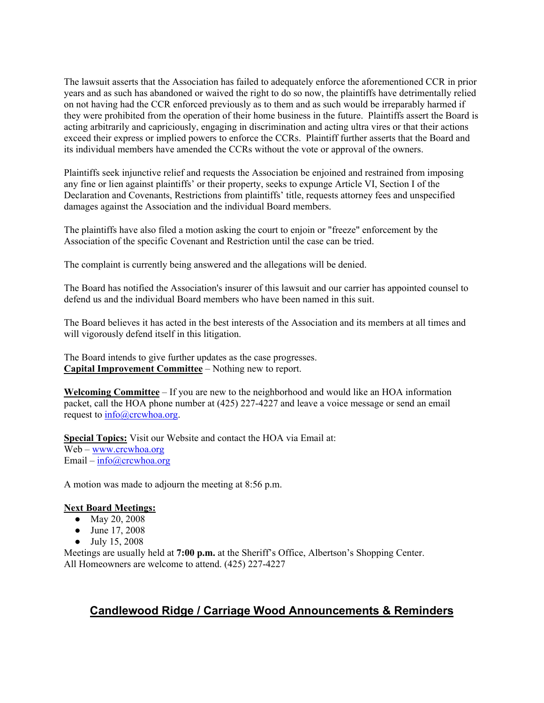The lawsuit asserts that the Association has failed to adequately enforce the aforementioned CCR in prior years and as such has abandoned or waived the right to do so now, the plaintiffs have detrimentally relied on not having had the CCR enforced previously as to them and as such would be irreparably harmed if they were prohibited from the operation of their home business in the future. Plaintiffs assert the Board is acting arbitrarily and capriciously, engaging in discrimination and acting ultra vires or that their actions exceed their express or implied powers to enforce the CCRs. Plaintiff further asserts that the Board and its individual members have amended the CCRs without the vote or approval of the owners.

Plaintiffs seek injunctive relief and requests the Association be enjoined and restrained from imposing any fine or lien against plaintiffs' or their property, seeks to expunge Article VI, Section I of the Declaration and Covenants, Restrictions from plaintiffs' title, requests attorney fees and unspecified damages against the Association and the individual Board members.

The plaintiffs have also filed a motion asking the court to enjoin or "freeze" enforcement by the Association of the specific Covenant and Restriction until the case can be tried.

The complaint is currently being answered and the allegations will be denied.

The Board has notified the Association's insurer of this lawsuit and our carrier has appointed counsel to defend us and the individual Board members who have been named in this suit.

The Board believes it has acted in the best interests of the Association and its members at all times and will vigorously defend itself in this litigation.

The Board intends to give further updates as the case progresses. **Capital Improvement Committee** – Nothing new to report.

**Welcoming Committee** – If you are new to the neighborhood and would like an HOA information packet, call the HOA phone number at (425) 227-4227 and leave a voice message or send an email request to info@crcwhoa.org.

**Special Topics:** Visit our Website and contact the HOA via Email at: Web – www.crcwhoa.org Email –  $info@crcwhoa.org$ 

A motion was made to adjourn the meeting at 8:56 p.m.

#### **Next Board Meetings:**

- May 20, 2008
- June 17, 2008
- July 15, 2008

Meetings are usually held at **7:00 p.m.** at the Sheriff's Office, Albertson's Shopping Center. All Homeowners are welcome to attend. (425) 227-4227

# **Candlewood Ridge / Carriage Wood Announcements & Reminders**